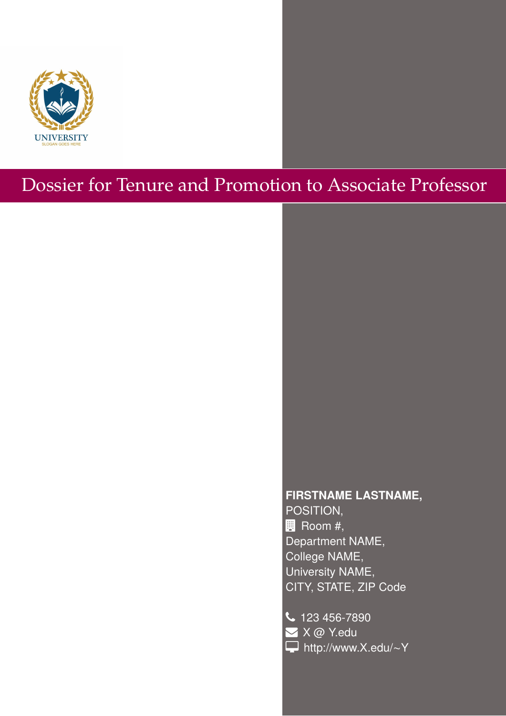

### Dossier for Tenure and Promotion to Associate Professor

#### **FIRSTNAME LASTNAME,**

POSITION,  $\mathbb{R}$  Room #, Department NAME, College NAME, University NAME, CITY, STATE, ZIP Code

 $\bigcup$  123 456-7890 X @ Y.edu B http://www.X.edu/∼Y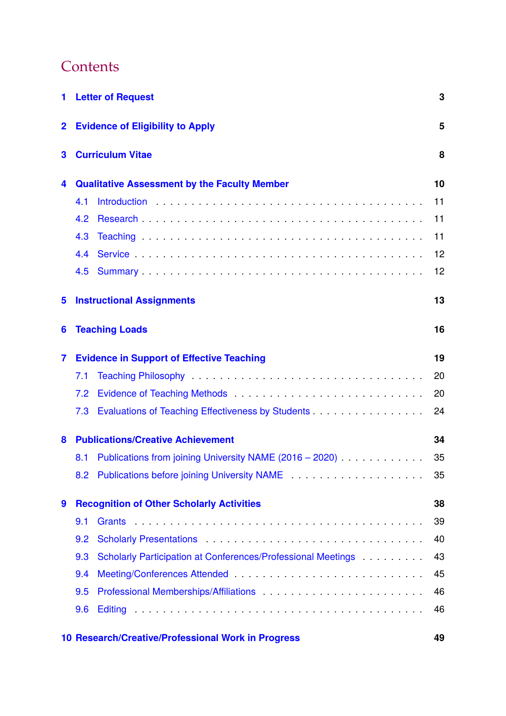#### **Contents**

| 1            |                                          | <b>Letter of Request</b>                                     | 3  |  |  |
|--------------|------------------------------------------|--------------------------------------------------------------|----|--|--|
| $\mathbf{2}$ |                                          | <b>Evidence of Eligibility to Apply</b>                      | 5  |  |  |
| 3            |                                          | <b>Curriculum Vitae</b>                                      | 8  |  |  |
| 4            |                                          | <b>Qualitative Assessment by the Faculty Member</b>          | 10 |  |  |
|              | 4.1                                      |                                                              | 11 |  |  |
|              | 4.2                                      |                                                              | 11 |  |  |
|              | 4.3                                      |                                                              | 11 |  |  |
|              | 4.4                                      |                                                              | 12 |  |  |
|              | 4.5                                      |                                                              | 12 |  |  |
| 5            |                                          | <b>Instructional Assignments</b>                             | 13 |  |  |
| 6            |                                          | <b>Teaching Loads</b>                                        | 16 |  |  |
| 7            |                                          | <b>Evidence in Support of Effective Teaching</b>             | 19 |  |  |
|              | 7.1                                      |                                                              | 20 |  |  |
|              | 7.2                                      |                                                              | 20 |  |  |
|              | 7.3                                      | Evaluations of Teaching Effectiveness by Students            | 24 |  |  |
| 8            | <b>Publications/Creative Achievement</b> |                                                              |    |  |  |
|              | 8.1                                      | Publications from joining University NAME (2016 – 2020)      | 35 |  |  |
|              | 8.2                                      |                                                              | 35 |  |  |
| 9            |                                          | <b>Recognition of Other Scholarly Activities</b>             | 38 |  |  |
|              | 9.1                                      |                                                              | 39 |  |  |
|              | 9.2                                      |                                                              | 40 |  |  |
|              | 9.3                                      | Scholarly Participation at Conferences/Professional Meetings | 43 |  |  |
|              | 9.4                                      |                                                              | 45 |  |  |
|              | 9.5                                      |                                                              | 46 |  |  |
|              | 9.6                                      |                                                              | 46 |  |  |
|              |                                          | 10 Research/Creative/Professional Work in Progress           | 49 |  |  |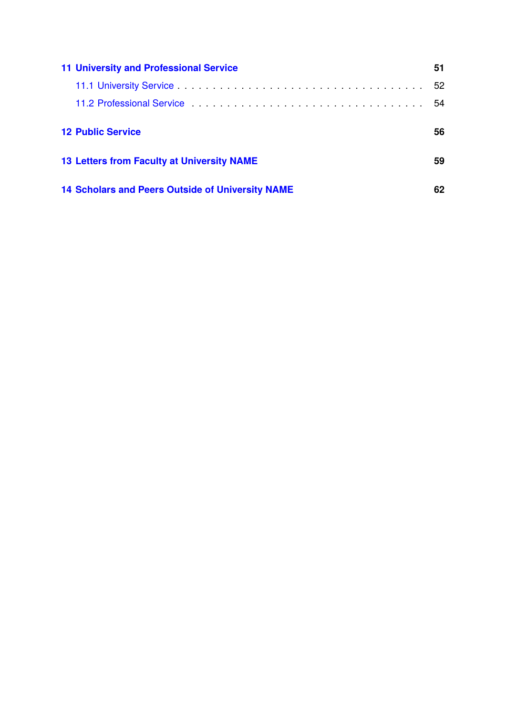| <b>11 University and Professional Service</b>           | 51 |
|---------------------------------------------------------|----|
|                                                         | 52 |
|                                                         |    |
| <b>12 Public Service</b>                                | 56 |
| <b>13 Letters from Faculty at University NAME</b>       | 59 |
| <b>14 Scholars and Peers Outside of University NAME</b> | 62 |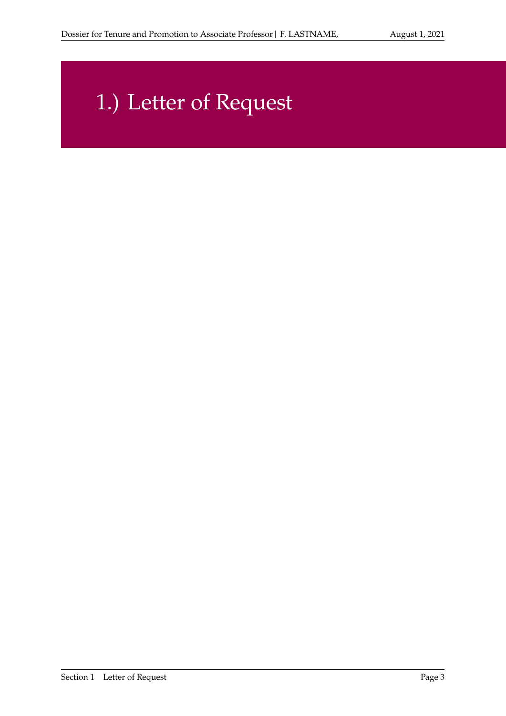### <span id="page-3-0"></span>1.) Letter of Request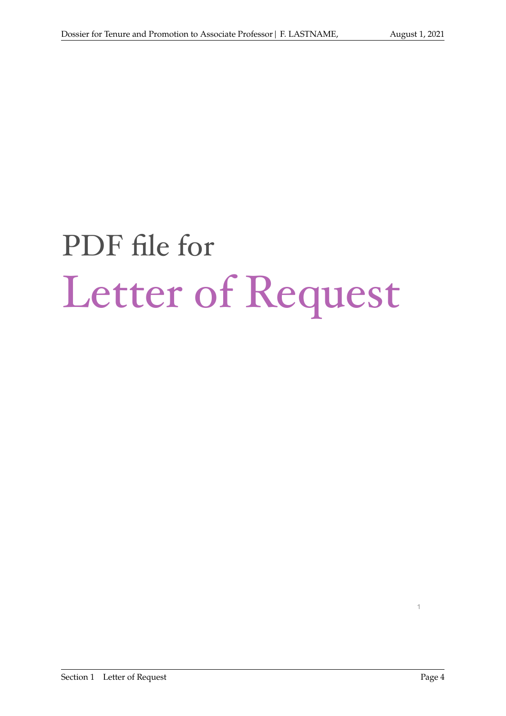### PDF file for Letter of Request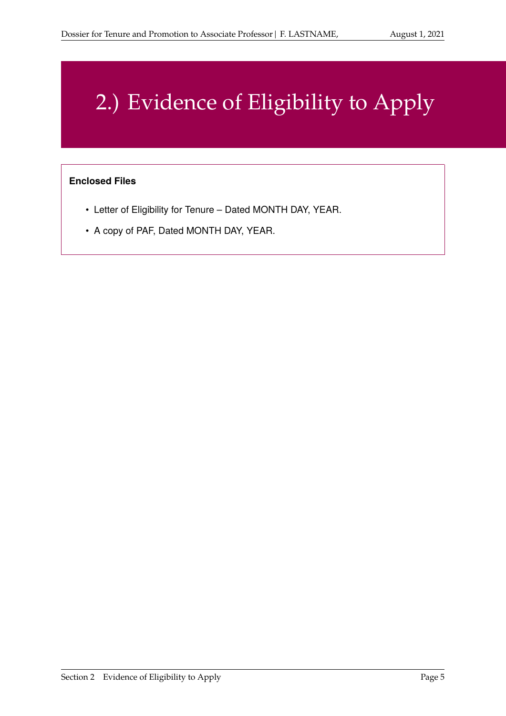### 2.) Evidence of Eligibility to Apply

#### <span id="page-5-0"></span>**Enclosed Files**

- Letter of Eligibility for Tenure Dated MONTH DAY, YEAR.
- A copy of PAF, Dated MONTH DAY, YEAR.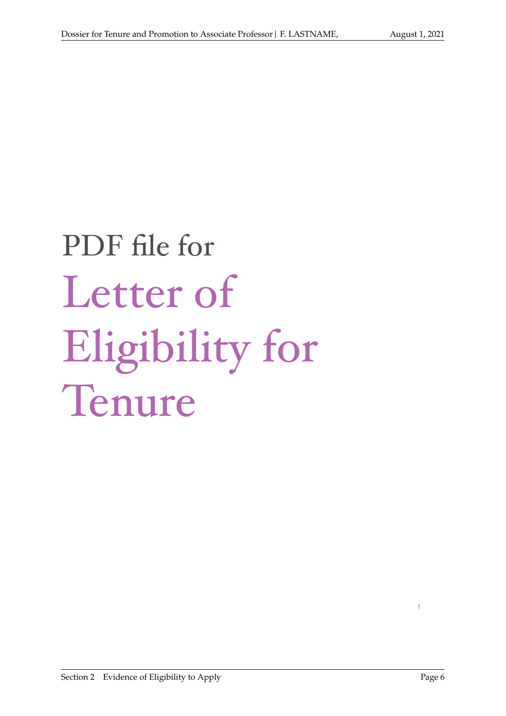# PDF file for<br>Letter of Eligibility for e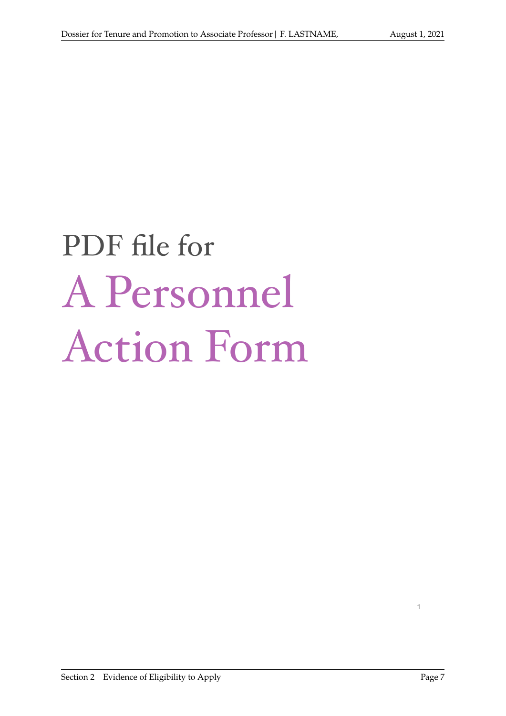## PDF file for A Personnel **Action Form**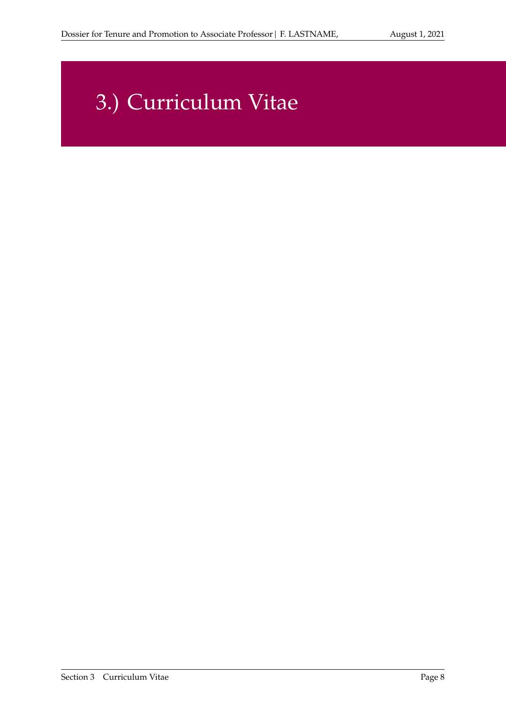### <span id="page-8-0"></span>3.) Curriculum Vitae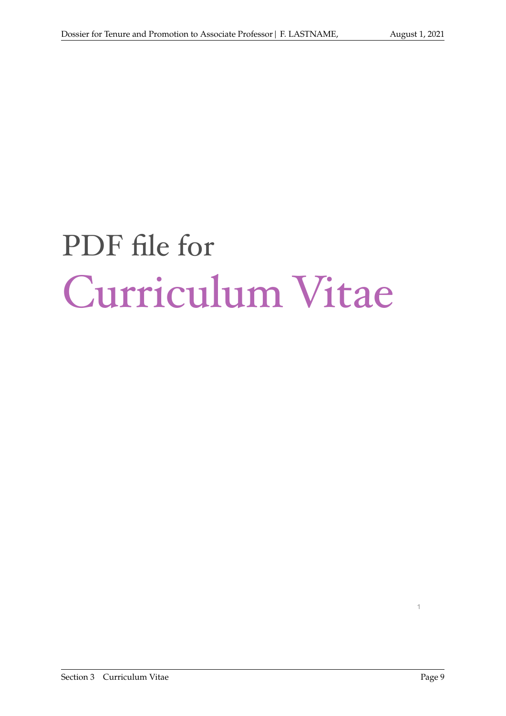### PDF file for Curriculum Vitae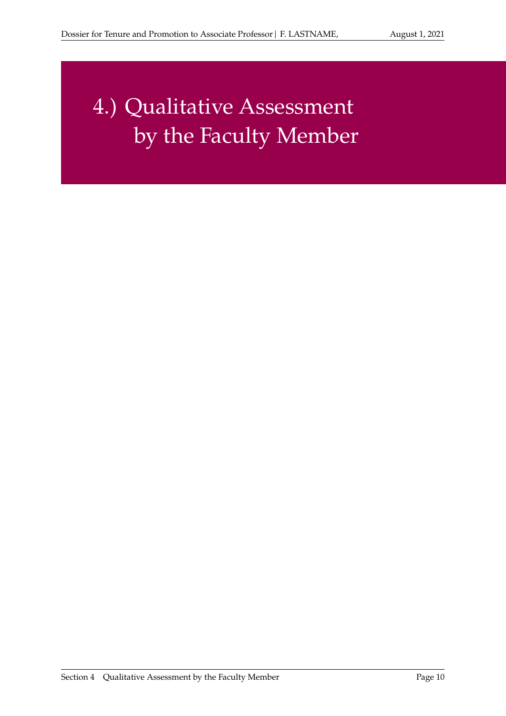### <span id="page-10-0"></span>4.) Qualitative Assessment by the Faculty Member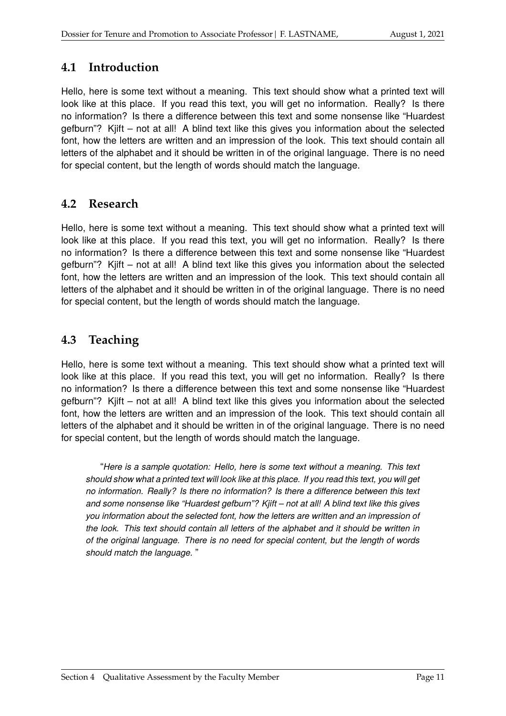#### <span id="page-11-0"></span>**4.1 Introduction**

Hello, here is some text without a meaning. This text should show what a printed text will look like at this place. If you read this text, you will get no information. Really? Is there no information? Is there a difference between this text and some nonsense like "Huardest gefburn"? Kjift – not at all! A blind text like this gives you information about the selected font, how the letters are written and an impression of the look. This text should contain all letters of the alphabet and it should be written in of the original language. There is no need for special content, but the length of words should match the language.

#### <span id="page-11-1"></span>**4.2 Research**

Hello, here is some text without a meaning. This text should show what a printed text will look like at this place. If you read this text, you will get no information. Really? Is there no information? Is there a difference between this text and some nonsense like "Huardest gefburn"? Kjift – not at all! A blind text like this gives you information about the selected font, how the letters are written and an impression of the look. This text should contain all letters of the alphabet and it should be written in of the original language. There is no need for special content, but the length of words should match the language.

#### <span id="page-11-2"></span>**4.3 Teaching**

Hello, here is some text without a meaning. This text should show what a printed text will look like at this place. If you read this text, you will get no information. Really? Is there no information? Is there a difference between this text and some nonsense like "Huardest gefburn"? Kjift – not at all! A blind text like this gives you information about the selected font, how the letters are written and an impression of the look. This text should contain all letters of the alphabet and it should be written in of the original language. There is no need for special content, but the length of words should match the language.

"*Here is a sample quotation: Hello, here is some text without a meaning. This text should show what a printed text will look like at this place. If you read this text, you will get no information. Really? Is there no information? Is there a difference between this text and some nonsense like "Huardest gefburn"? Kjift – not at all! A blind text like this gives you information about the selected font, how the letters are written and an impression of the look. This text should contain all letters of the alphabet and it should be written in of the original language. There is no need for special content, but the length of words should match the language.* "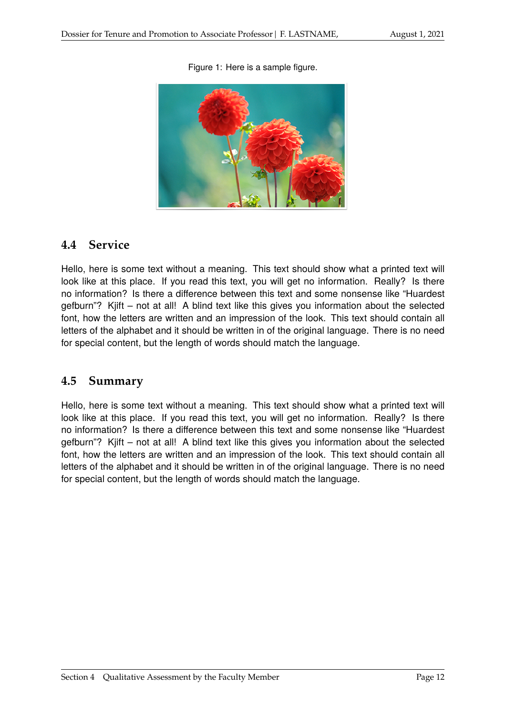#### Figure 1: Here is a sample figure.



#### <span id="page-12-0"></span>**4.4 Service**

Hello, here is some text without a meaning. This text should show what a printed text will look like at this place. If you read this text, you will get no information. Really? Is there no information? Is there a difference between this text and some nonsense like "Huardest gefburn"? Kjift – not at all! A blind text like this gives you information about the selected font, how the letters are written and an impression of the look. This text should contain all letters of the alphabet and it should be written in of the original language. There is no need for special content, but the length of words should match the language.

#### <span id="page-12-1"></span>**4.5 Summary**

Hello, here is some text without a meaning. This text should show what a printed text will look like at this place. If you read this text, you will get no information. Really? Is there no information? Is there a difference between this text and some nonsense like "Huardest gefburn"? Kjift – not at all! A blind text like this gives you information about the selected font, how the letters are written and an impression of the look. This text should contain all letters of the alphabet and it should be written in of the original language. There is no need for special content, but the length of words should match the language.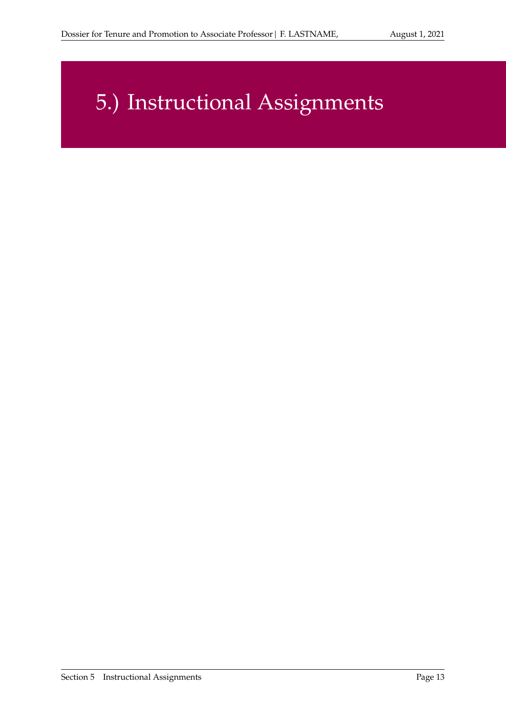### <span id="page-13-0"></span>5.) Instructional Assignments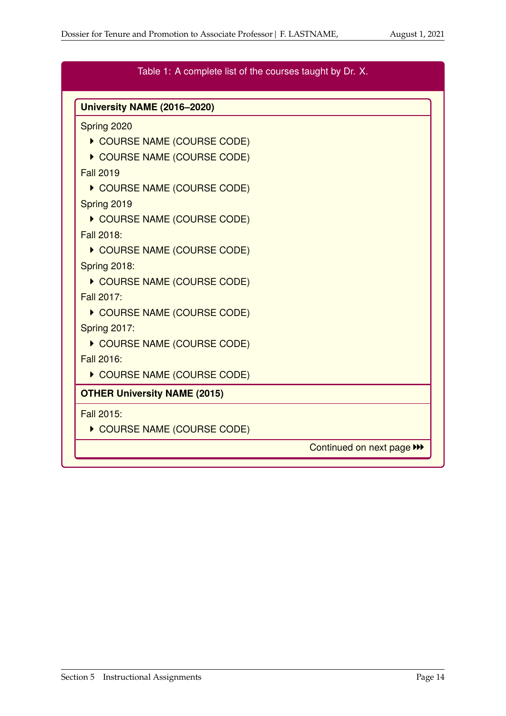| University NAME (2016-2020)         |  |
|-------------------------------------|--|
| Spring 2020                         |  |
| COURSE NAME (COURSE CODE)           |  |
| COURSE NAME (COURSE CODE)           |  |
| <b>Fall 2019</b>                    |  |
| COURSE NAME (COURSE CODE)           |  |
| Spring 2019                         |  |
| COURSE NAME (COURSE CODE)           |  |
| Fall 2018:                          |  |
| COURSE NAME (COURSE CODE)           |  |
| <b>Spring 2018:</b>                 |  |
| COURSE NAME (COURSE CODE)           |  |
| Fall 2017:                          |  |
| COURSE NAME (COURSE CODE)           |  |
| <b>Spring 2017:</b>                 |  |
| COURSE NAME (COURSE CODE)           |  |
| <b>Fall 2016:</b>                   |  |
| COURSE NAME (COURSE CODE)           |  |
| <b>OTHER University NAME (2015)</b> |  |
| Fall 2015:                          |  |
| COURSE NAME (COURSE CODE)           |  |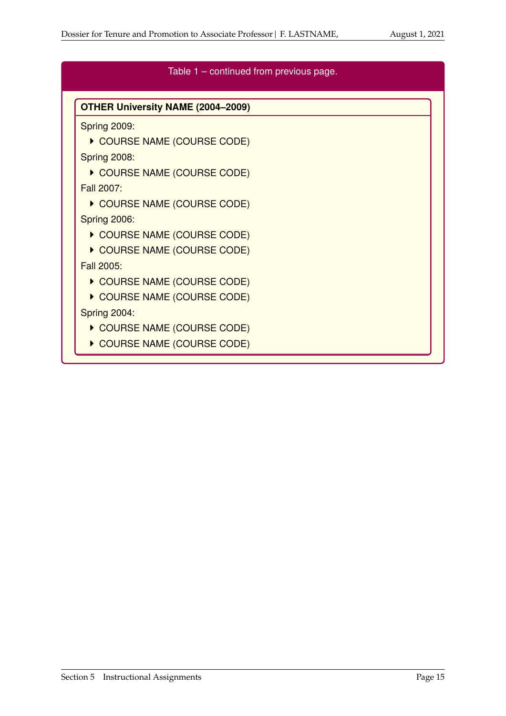| Table 1 – continued from previous page.  |  |
|------------------------------------------|--|
| <b>OTHER University NAME (2004-2009)</b> |  |
| <b>Spring 2009:</b>                      |  |
| COURSE NAME (COURSE CODE)                |  |
| <b>Spring 2008:</b>                      |  |
| COURSE NAME (COURSE CODE)                |  |
| Fall 2007:                               |  |
| COURSE NAME (COURSE CODE)                |  |
| <b>Spring 2006:</b>                      |  |
| COURSE NAME (COURSE CODE)                |  |
| COURSE NAME (COURSE CODE)                |  |
| Fall 2005:                               |  |
| COURSE NAME (COURSE CODE)                |  |
| COURSE NAME (COURSE CODE)                |  |
| <b>Spring 2004:</b>                      |  |
| COURSE NAME (COURSE CODE)                |  |
| COURSE NAME (COURSE CODE)                |  |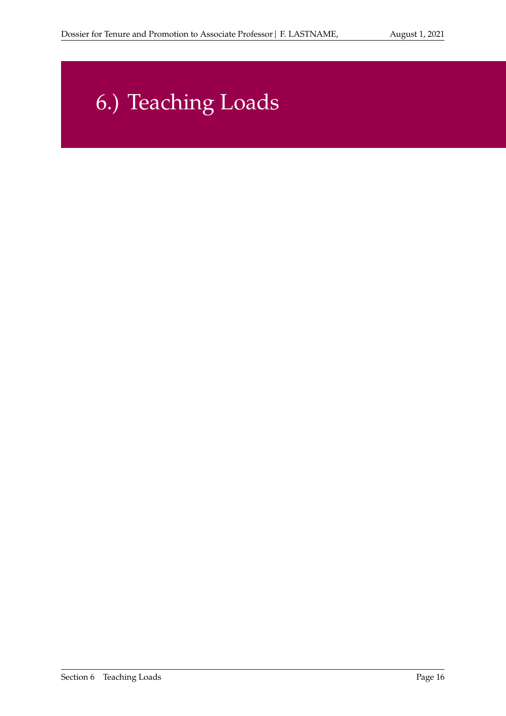### <span id="page-16-0"></span>6.) Teaching Loads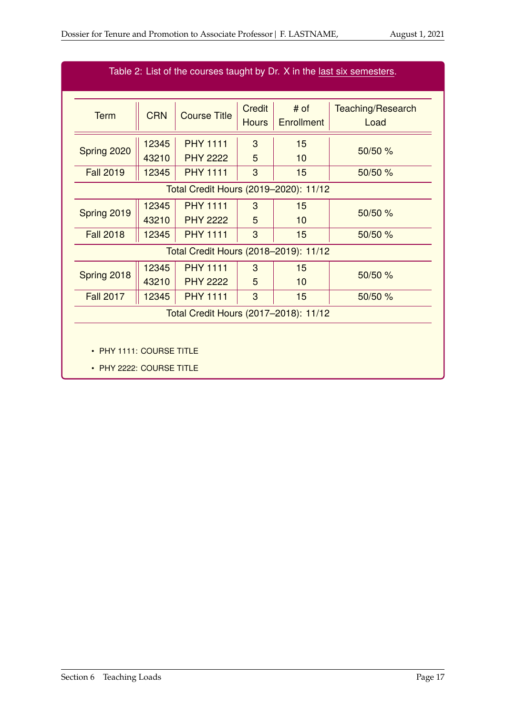| <b>Term</b>      | <b>CRN</b> | <b>Course Title</b>                   | <b>Credit</b> | $#$ of     | <b>Teaching/Research</b> |
|------------------|------------|---------------------------------------|---------------|------------|--------------------------|
|                  |            |                                       | <b>Hours</b>  | Enrollment | Load                     |
|                  | 12345      | <b>PHY 1111</b>                       | 3             | 15         | 50/50 %                  |
| Spring 2020      | 43210      | <b>PHY 2222</b>                       | 5             | 10         |                          |
| <b>Fall 2019</b> | 12345      | <b>PHY 1111</b>                       | 3             | 15         | 50/50 %                  |
|                  |            | Total Credit Hours (2019-2020): 11/12 |               |            |                          |
| Spring 2019      | 12345      | <b>PHY 1111</b>                       | 3             | 15         | 50/50 %                  |
|                  | 43210      | <b>PHY 2222</b>                       | 5             | 10         |                          |
| <b>Fall 2018</b> | 12345      | <b>PHY 1111</b>                       | 3             | 15         | 50/50 %                  |
|                  |            | Total Credit Hours (2018-2019): 11/12 |               |            |                          |
|                  | 12345      | <b>PHY 1111</b>                       | 3             | 15         | 50/50 %                  |
| Spring 2018      | 43210      | <b>PHY 2222</b>                       | 5             | 10         |                          |
| <b>Fall 2017</b> | 12345      | <b>PHY 1111</b>                       | 3             | 15         | 50/50 %                  |
|                  |            | Total Credit Hours (2017-2018): 11/12 |               |            |                          |
|                  |            |                                       |               |            |                          |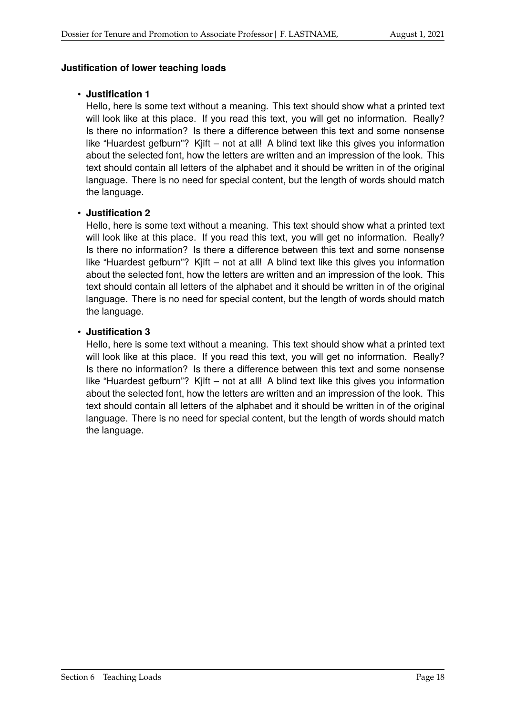#### **Justification of lower teaching loads**

#### • **Justification 1**

Hello, here is some text without a meaning. This text should show what a printed text will look like at this place. If you read this text, you will get no information. Really? Is there no information? Is there a difference between this text and some nonsense like "Huardest gefburn"? Kjift – not at all! A blind text like this gives you information about the selected font, how the letters are written and an impression of the look. This text should contain all letters of the alphabet and it should be written in of the original language. There is no need for special content, but the length of words should match the language.

#### • **Justification 2**

Hello, here is some text without a meaning. This text should show what a printed text will look like at this place. If you read this text, you will get no information. Really? Is there no information? Is there a difference between this text and some nonsense like "Huardest gefburn"? Kjift – not at all! A blind text like this gives you information about the selected font, how the letters are written and an impression of the look. This text should contain all letters of the alphabet and it should be written in of the original language. There is no need for special content, but the length of words should match the language.

#### • **Justification 3**

Hello, here is some text without a meaning. This text should show what a printed text will look like at this place. If you read this text, you will get no information. Really? Is there no information? Is there a difference between this text and some nonsense like "Huardest gefburn"? Kjift – not at all! A blind text like this gives you information about the selected font, how the letters are written and an impression of the look. This text should contain all letters of the alphabet and it should be written in of the original language. There is no need for special content, but the length of words should match the language.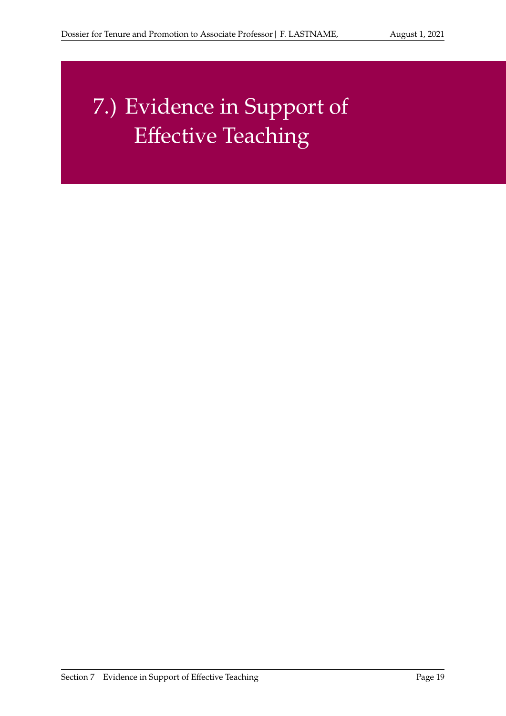### <span id="page-19-0"></span>7.) Evidence in Support of Effective Teaching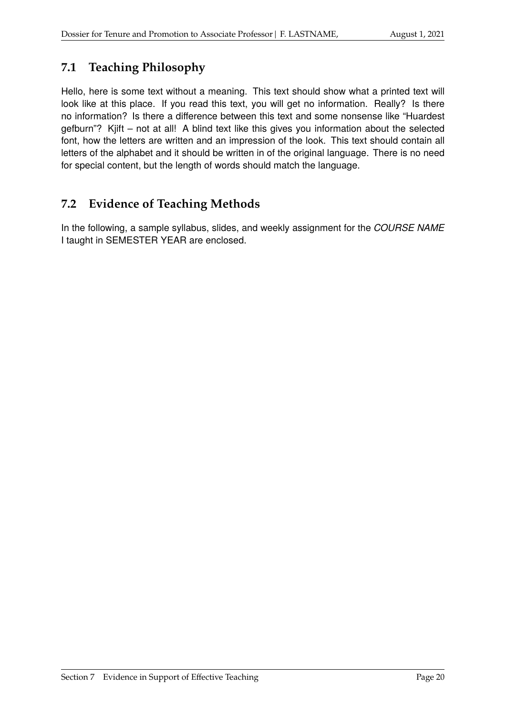#### <span id="page-20-0"></span>**7.1 Teaching Philosophy**

Hello, here is some text without a meaning. This text should show what a printed text will look like at this place. If you read this text, you will get no information. Really? Is there no information? Is there a difference between this text and some nonsense like "Huardest gefburn"? Kjift – not at all! A blind text like this gives you information about the selected font, how the letters are written and an impression of the look. This text should contain all letters of the alphabet and it should be written in of the original language. There is no need for special content, but the length of words should match the language.

#### <span id="page-20-1"></span>**7.2 Evidence of Teaching Methods**

In the following, a sample syllabus, slides, and weekly assignment for the *COURSE NAME* I taught in SEMESTER YEAR are enclosed.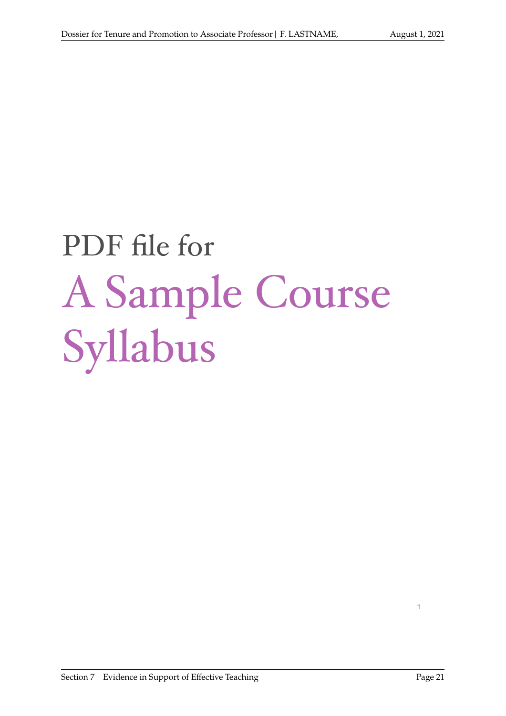# PDF file for A Sample Course Syllabus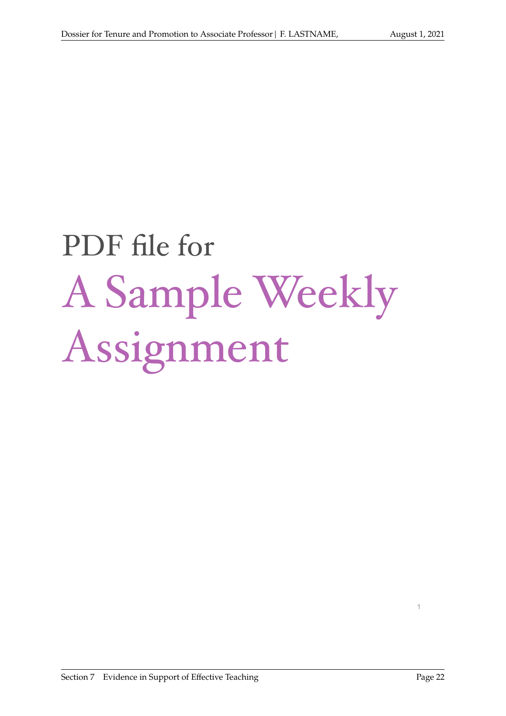# PDF file for A Sample Weekly Assignment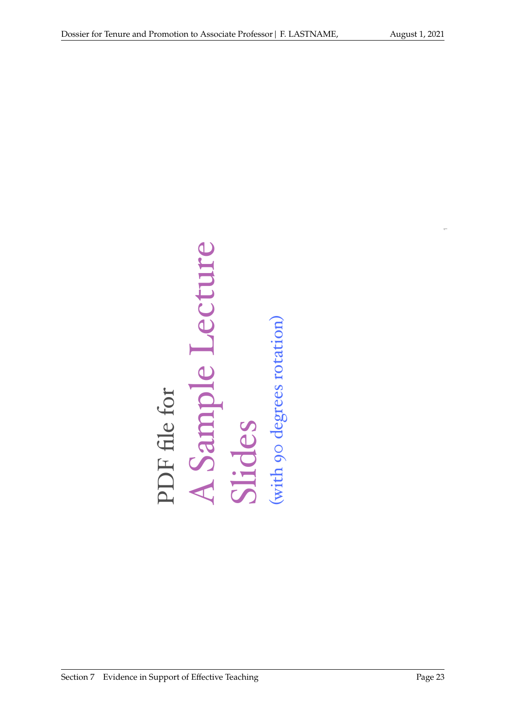# (with 90 degrees rotation)

PDF file for

e Lecture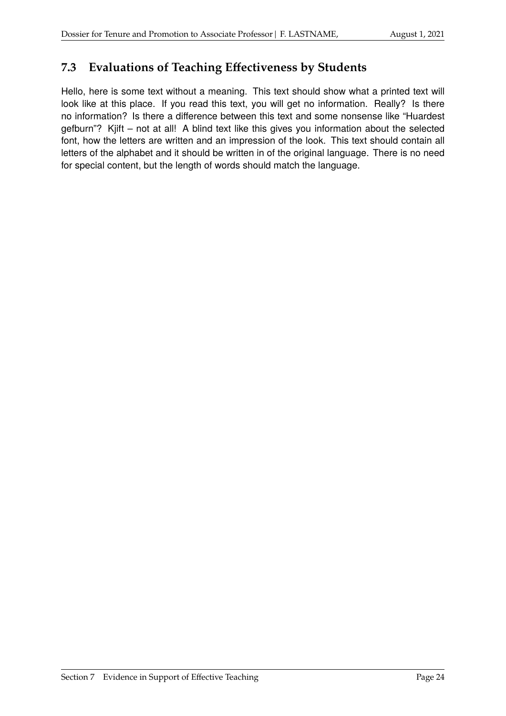#### <span id="page-24-0"></span>**7.3 Evaluations of Teaching Effectiveness by Students**

Hello, here is some text without a meaning. This text should show what a printed text will look like at this place. If you read this text, you will get no information. Really? Is there no information? Is there a difference between this text and some nonsense like "Huardest gefburn"? Kjift – not at all! A blind text like this gives you information about the selected font, how the letters are written and an impression of the look. This text should contain all letters of the alphabet and it should be written in of the original language. There is no need for special content, but the length of words should match the language.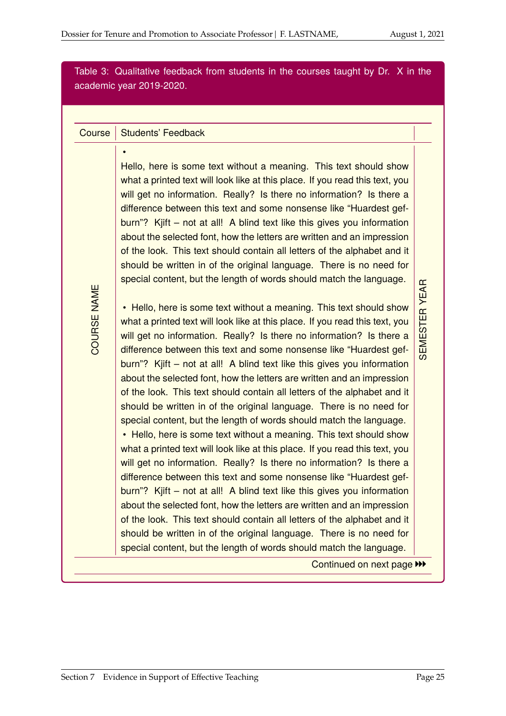Table 3: Qualitative feedback from students in the courses taught by Dr. X in the academic year 2019-2020. Course | Students' Feedback • Hello, here is some text without a meaning. This text should show what a printed text will look like at this place. If you read this text, you will get no information. Really? Is there no information? Is there a difference between this text and some nonsense like "Huardest gefburn"? Kjift – not at all! A blind text like this gives you information about the selected font, how the letters are written and an impression of the look. This text should contain all letters of the alphabet and it should be written in of the original language. There is no need for special content, but the length of words should match the language. **SEMESTER YEAR** SEMESTER YEAR COURSE NAME COURSE NAME • Hello, here is some text without a meaning. This text should show what a printed text will look like at this place. If you read this text, you will get no information. Really? Is there no information? Is there a difference between this text and some nonsense like "Huardest gefburn"? Kjift – not at all! A blind text like this gives you information about the selected font, how the letters are written and an impression of the look. This text should contain all letters of the alphabet and it should be written in of the original language. There is no need for special content, but the length of words should match the language. • Hello, here is some text without a meaning. This text should show what a printed text will look like at this place. If you read this text, you will get no information. Really? Is there no information? Is there a difference between this text and some nonsense like "Huardest gefburn"? Kjift – not at all! A blind text like this gives you information about the selected font, how the letters are written and an impression of the look. This text should contain all letters of the alphabet and it should be written in of the original language. There is no need for special content, but the length of words should match the language. Continued on next page **>>>**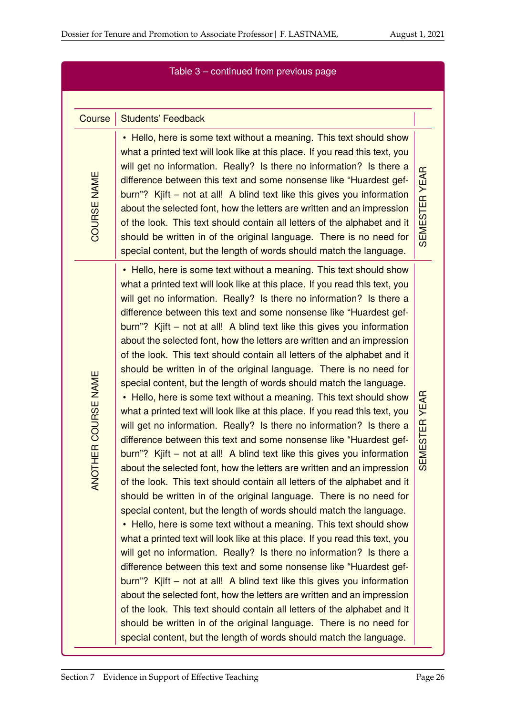|                               | Table 3 – continued from previous page                                                                                                                                                                                                                                                                                                                                                                                                                                                                                                                                                                                                                                                                                                                                                                                                                                                                                                                                                                                                                                                                                                                                                                                                                                                                                                                                                                                                                                                                                                                                                                                                                                                                                                                                                                                                                                                                                                                                                                                                                   |                                  |
|-------------------------------|----------------------------------------------------------------------------------------------------------------------------------------------------------------------------------------------------------------------------------------------------------------------------------------------------------------------------------------------------------------------------------------------------------------------------------------------------------------------------------------------------------------------------------------------------------------------------------------------------------------------------------------------------------------------------------------------------------------------------------------------------------------------------------------------------------------------------------------------------------------------------------------------------------------------------------------------------------------------------------------------------------------------------------------------------------------------------------------------------------------------------------------------------------------------------------------------------------------------------------------------------------------------------------------------------------------------------------------------------------------------------------------------------------------------------------------------------------------------------------------------------------------------------------------------------------------------------------------------------------------------------------------------------------------------------------------------------------------------------------------------------------------------------------------------------------------------------------------------------------------------------------------------------------------------------------------------------------------------------------------------------------------------------------------------------------|----------------------------------|
|                               |                                                                                                                                                                                                                                                                                                                                                                                                                                                                                                                                                                                                                                                                                                                                                                                                                                                                                                                                                                                                                                                                                                                                                                                                                                                                                                                                                                                                                                                                                                                                                                                                                                                                                                                                                                                                                                                                                                                                                                                                                                                          |                                  |
| Course                        | <b>Students' Feedback</b>                                                                                                                                                                                                                                                                                                                                                                                                                                                                                                                                                                                                                                                                                                                                                                                                                                                                                                                                                                                                                                                                                                                                                                                                                                                                                                                                                                                                                                                                                                                                                                                                                                                                                                                                                                                                                                                                                                                                                                                                                                |                                  |
| <b>COURSE NAME</b>            | • Hello, here is some text without a meaning. This text should show<br>what a printed text will look like at this place. If you read this text, you<br>will get no information. Really? Is there no information? Is there a<br>difference between this text and some nonsense like "Huardest gef-<br>burn"? Kjift - not at all! A blind text like this gives you information<br>about the selected font, how the letters are written and an impression<br>of the look. This text should contain all letters of the alphabet and it<br>should be written in of the original language. There is no need for<br>special content, but the length of words should match the language.                                                                                                                                                                                                                                                                                                                                                                                                                                                                                                                                                                                                                                                                                                                                                                                                                                                                                                                                                                                                                                                                                                                                                                                                                                                                                                                                                                         | SEMESTER YEAR                    |
| <b>COURSE NAME</b><br>ANOTHER | • Hello, here is some text without a meaning. This text should show<br>what a printed text will look like at this place. If you read this text, you<br>will get no information. Really? Is there no information? Is there a<br>difference between this text and some nonsense like "Huardest gef-<br>burn"? Kjift – not at all! A blind text like this gives you information<br>about the selected font, how the letters are written and an impression<br>of the look. This text should contain all letters of the alphabet and it<br>should be written in of the original language. There is no need for<br>special content, but the length of words should match the language.<br>• Hello, here is some text without a meaning. This text should show<br>what a printed text will look like at this place. If you read this text, you<br>will get no information. Really? Is there no information? Is there a<br>difference between this text and some nonsense like "Huardest gef-<br>burn"? Kjift – not at all! A blind text like this gives you information<br>about the selected font, how the letters are written and an impression<br>of the look. This text should contain all letters of the alphabet and it<br>should be written in of the original language. There is no need for<br>special content, but the length of words should match the language.<br>• Hello, here is some text without a meaning. This text should show<br>what a printed text will look like at this place. If you read this text, you<br>will get no information. Really? Is there no information? Is there a<br>difference between this text and some nonsense like "Huardest gef-<br>burn"? Kjift – not at all! A blind text like this gives you information<br>about the selected font, how the letters are written and an impression<br>of the look. This text should contain all letters of the alphabet and it<br>should be written in of the original language. There is no need for<br>special content, but the length of words should match the language. | <b>STER YEAR</b><br><b>SEMES</b> |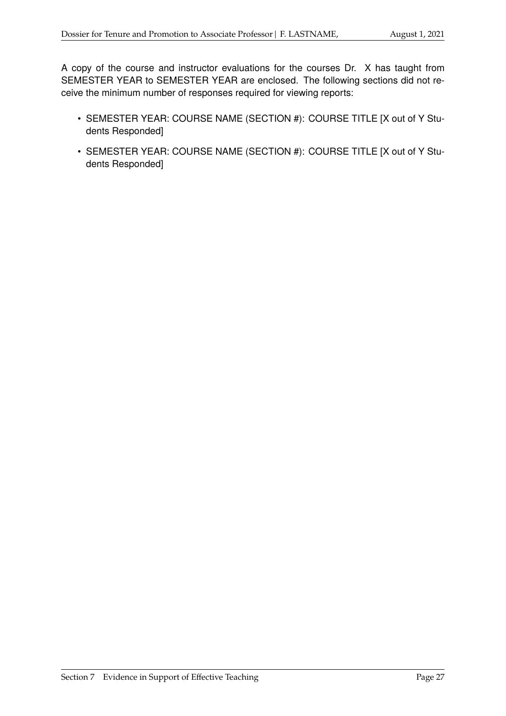A copy of the course and instructor evaluations for the courses Dr. X has taught from SEMESTER YEAR to SEMESTER YEAR are enclosed. The following sections did not receive the minimum number of responses required for viewing reports:

- SEMESTER YEAR: COURSE NAME (SECTION #): COURSE TITLE [X out of Y Students Responded]
- SEMESTER YEAR: COURSE NAME (SECTION #): COURSE TITLE [X out of Y Students Responded]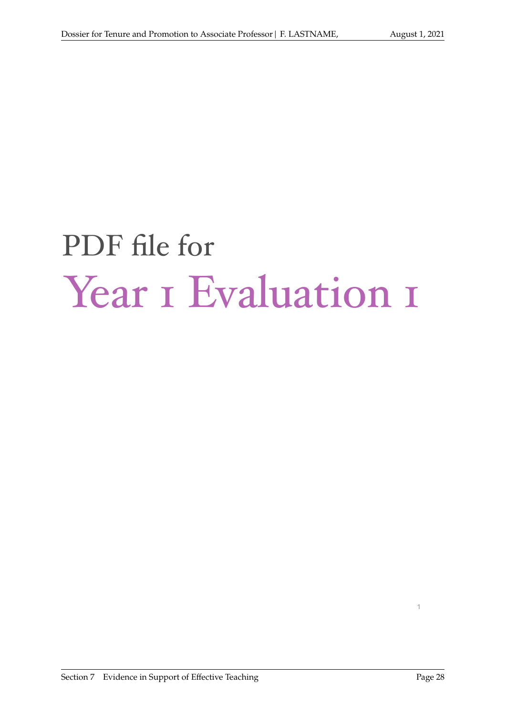### PDF file for Year I Evaluation I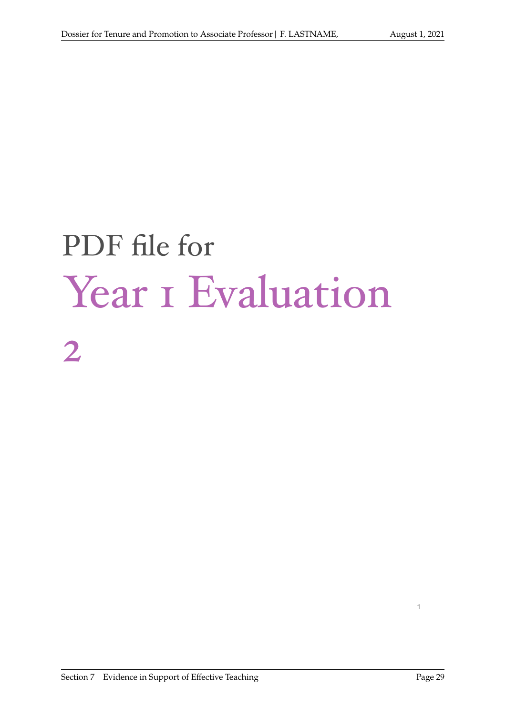### PDF file for Year I Evaluation  $\mathbf{2}$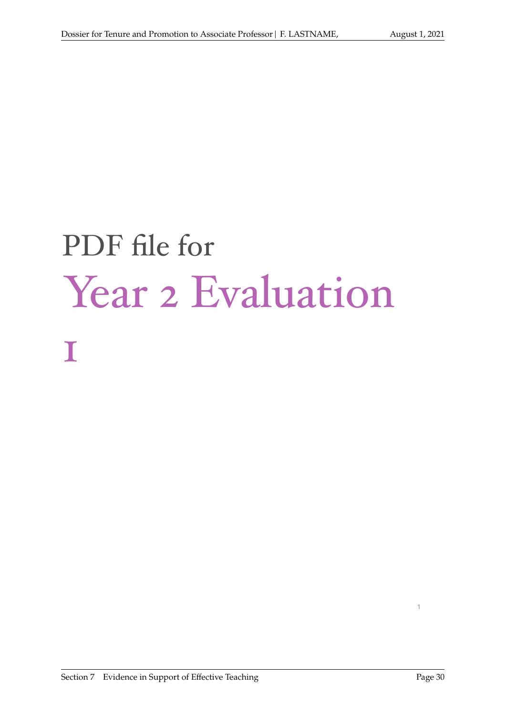### PDF file for Year 2 Evaluation T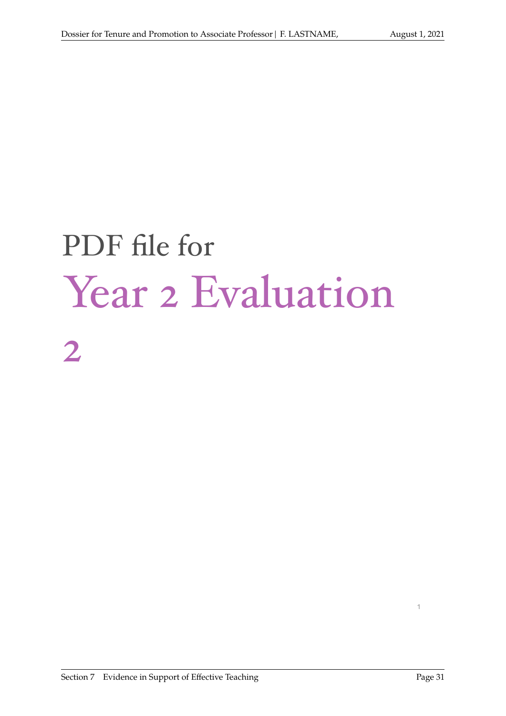### PDF file for Year 2 Evaluation  $\mathbf{2}$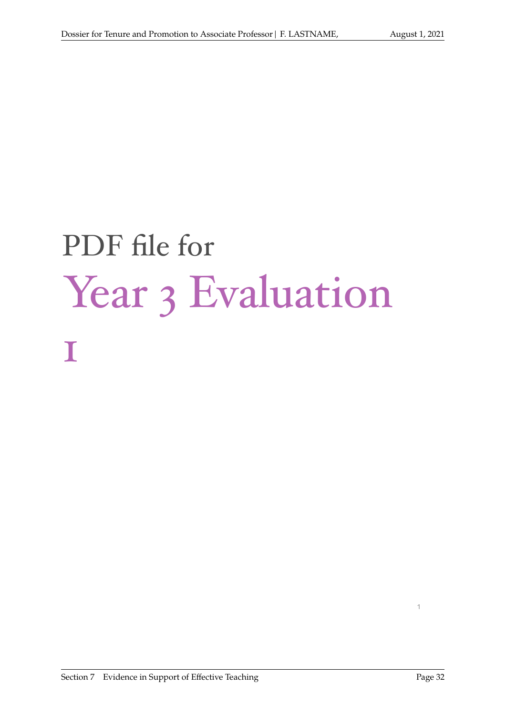### PDF file for Year 3 Evaluation T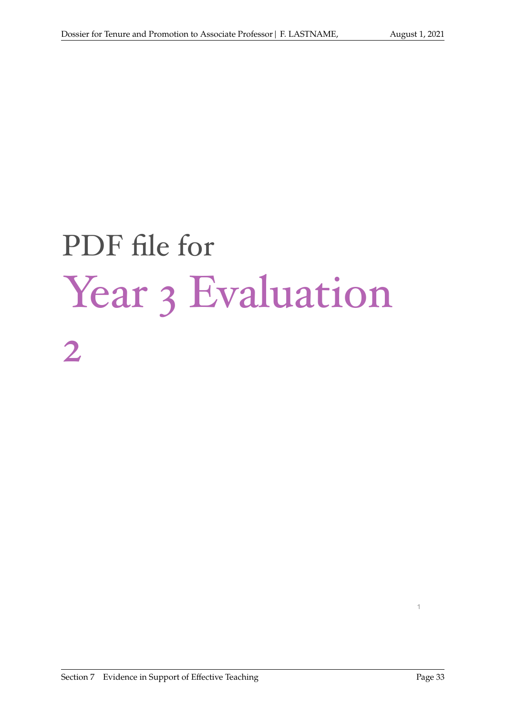# PDF file for Year 3 Evaluation  $\overline{2}$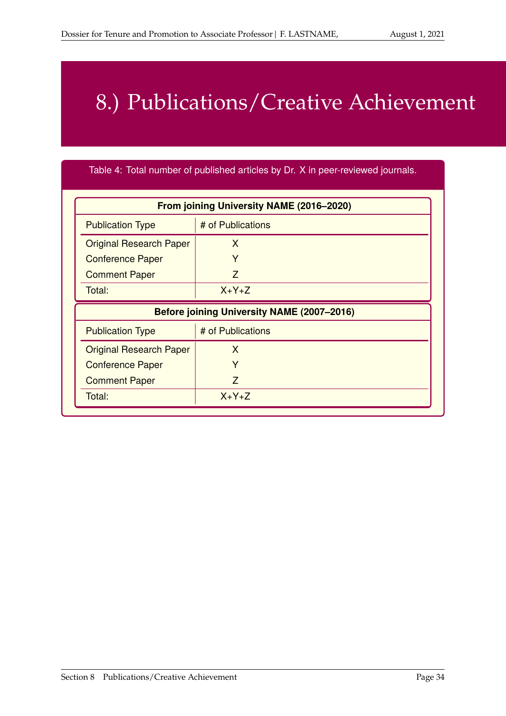### 8.) Publications/Creative Achievement

#### <span id="page-34-0"></span>Table 4: Total number of published articles by Dr. X in peer-reviewed journals.

|                                | From joining University NAME (2016-2020)          |  |
|--------------------------------|---------------------------------------------------|--|
| <b>Publication Type</b>        | # of Publications                                 |  |
| <b>Original Research Paper</b> | X                                                 |  |
| <b>Conference Paper</b>        | Υ                                                 |  |
| <b>Comment Paper</b>           | $\overline{z}$                                    |  |
| Total:                         | $X+Y+Z$                                           |  |
|                                |                                                   |  |
|                                | <b>Before joining University NAME (2007-2016)</b> |  |
| <b>Publication Type</b>        | # of Publications                                 |  |
| <b>Original Research Paper</b> | X                                                 |  |
| <b>Conference Paper</b>        | Υ                                                 |  |
| <b>Comment Paper</b>           | $\overline{7}$                                    |  |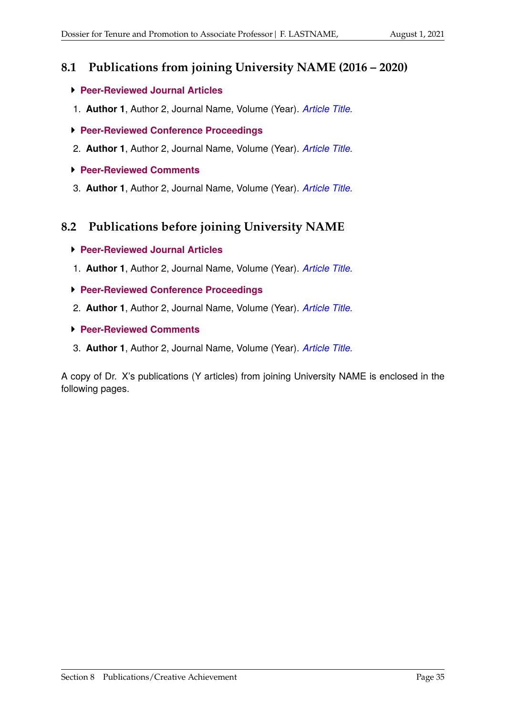#### <span id="page-35-0"></span>**8.1 Publications from joining University NAME (2016 – 2020)**

#### **Peer-Reviewed Journal Articles**

- 1. **Author 1**, Author 2, Journal Name, Volume (Year). *[Article Title.](https://doi.org/DOI)*
- **Peer-Reviewed Conference Proceedings**
- 2. **Author 1**, Author 2, Journal Name, Volume (Year). *[Article Title.](https://doi.org/DOI)*

#### **Peer-Reviewed Comments**

3. **Author 1**, Author 2, Journal Name, Volume (Year). *[Article Title.](https://doi.org/DOI)*

#### <span id="page-35-1"></span>**8.2 Publications before joining University NAME**

- **Peer-Reviewed Journal Articles**
- 1. **Author 1**, Author 2, Journal Name, Volume (Year). *[Article Title.](https://doi.org/DOI)*
- **Peer-Reviewed Conference Proceedings**
- 2. **Author 1**, Author 2, Journal Name, Volume (Year). *[Article Title.](https://doi.org/DOI)*
- **Peer-Reviewed Comments**
- 3. **Author 1**, Author 2, Journal Name, Volume (Year). *[Article Title.](https://doi.org/DOI)*

A copy of Dr. X's publications (Y articles) from joining University NAME is enclosed in the following pages.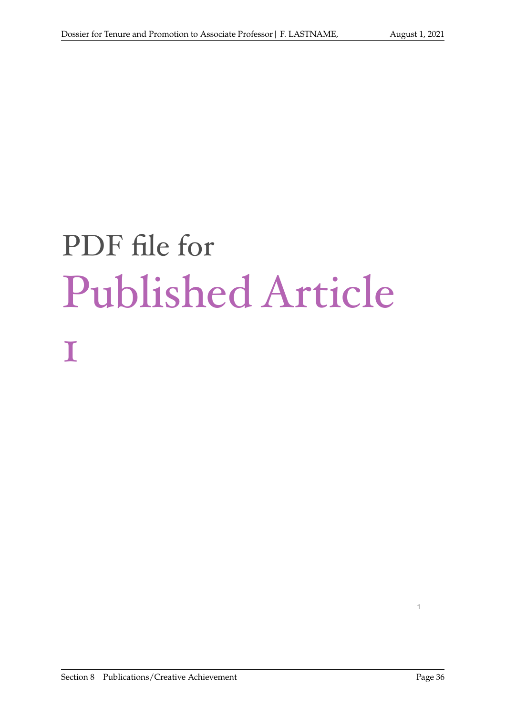### PDF file for Published Article T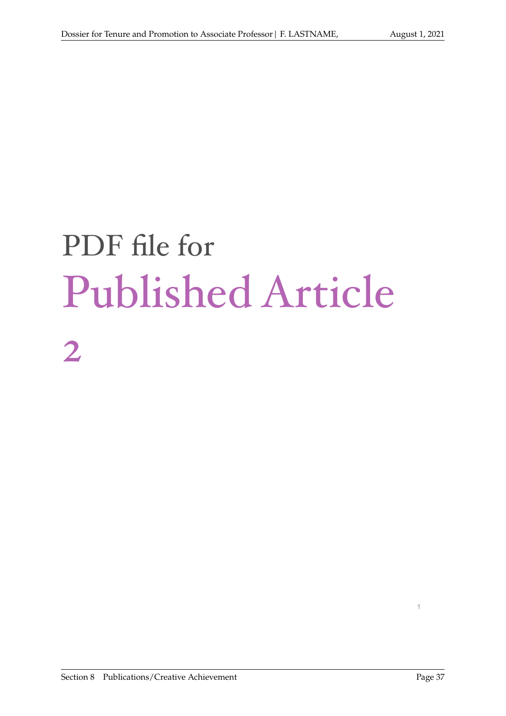### PDF file for Published Article  $\mathbf{2}$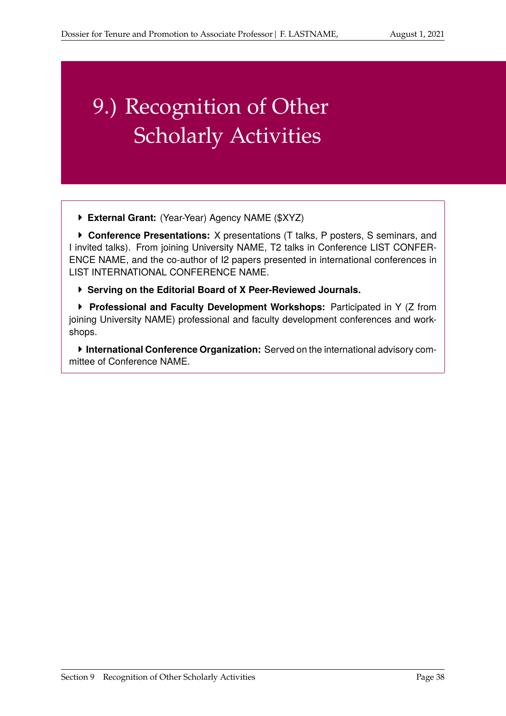### 9.) Recognition of Other Scholarly Activities

<span id="page-38-0"></span>**External Grant:** (Year-Year) Agency NAME (\$XYZ)

 **Conference Presentations:** X presentations (T talks, P posters, S seminars, and I invited talks). From joining University NAME, T2 talks in Conference LIST CONFER-ENCE NAME, and the co-author of I2 papers presented in international conferences in LIST INTERNATIONAL CONFERENCE NAME.

**Serving on the Editorial Board of X Peer-Reviewed Journals.**

 **Professional and Faculty Development Workshops:** Participated in Y (Z from joining University NAME) professional and faculty development conferences and workshops.

 **International Conference Organization:** Served on the international advisory committee of Conference NAME.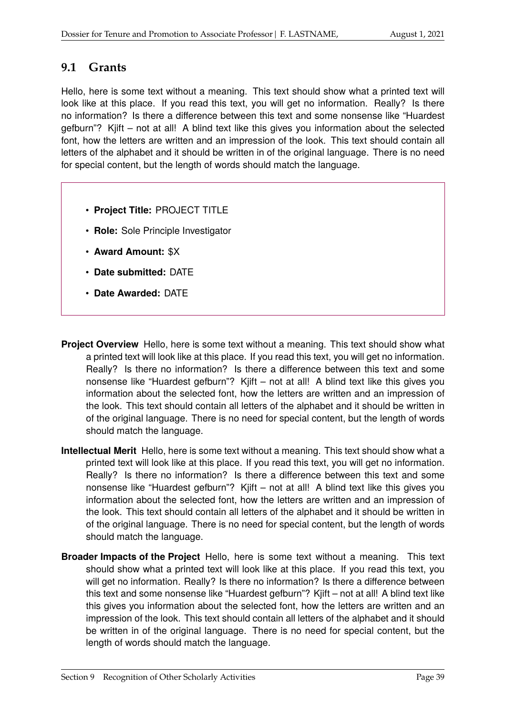#### <span id="page-39-0"></span>**9.1 Grants**

Hello, here is some text without a meaning. This text should show what a printed text will look like at this place. If you read this text, you will get no information. Really? Is there no information? Is there a difference between this text and some nonsense like "Huardest gefburn"? Kjift – not at all! A blind text like this gives you information about the selected font, how the letters are written and an impression of the look. This text should contain all letters of the alphabet and it should be written in of the original language. There is no need for special content, but the length of words should match the language.

- **Project Title:** PROJECT TITLE
- **Role:** Sole Principle Investigator
- **Award Amount:** \$X
- **Date submitted:** DATE
- **Date Awarded:** DATE
- **Project Overview** Hello, here is some text without a meaning. This text should show what a printed text will look like at this place. If you read this text, you will get no information. Really? Is there no information? Is there a difference between this text and some nonsense like "Huardest gefburn"? Kjift – not at all! A blind text like this gives you information about the selected font, how the letters are written and an impression of the look. This text should contain all letters of the alphabet and it should be written in of the original language. There is no need for special content, but the length of words should match the language.
- **Intellectual Merit** Hello, here is some text without a meaning. This text should show what a printed text will look like at this place. If you read this text, you will get no information. Really? Is there no information? Is there a difference between this text and some nonsense like "Huardest gefburn"? Kjift – not at all! A blind text like this gives you information about the selected font, how the letters are written and an impression of the look. This text should contain all letters of the alphabet and it should be written in of the original language. There is no need for special content, but the length of words should match the language.
- **Broader Impacts of the Project** Hello, here is some text without a meaning. This text should show what a printed text will look like at this place. If you read this text, you will get no information. Really? Is there no information? Is there a difference between this text and some nonsense like "Huardest gefburn"? Kjift – not at all! A blind text like this gives you information about the selected font, how the letters are written and an impression of the look. This text should contain all letters of the alphabet and it should be written in of the original language. There is no need for special content, but the length of words should match the language.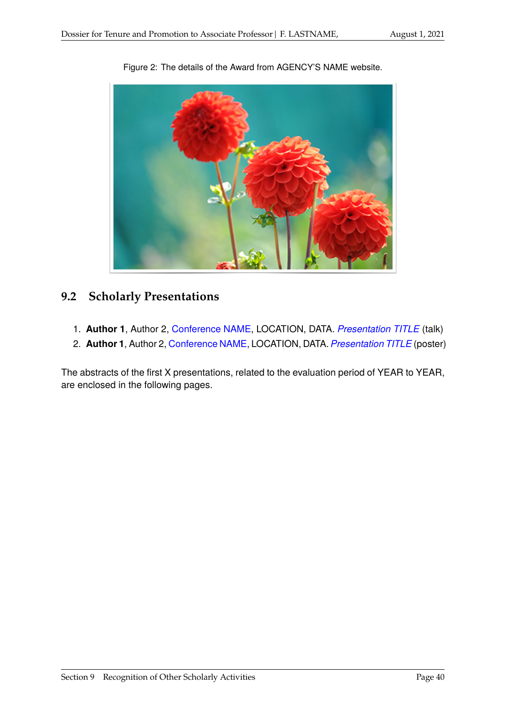

Figure 2: The details of the Award from AGENCY'S NAME website.

#### <span id="page-40-0"></span>**9.2 Scholarly Presentations**

- 1. **Author 1**, Author 2, [Conference NAME,](http://meetings_address) LOCATION, DATA. *[Presentation TITLE](http://presentation_address)* (talk)
- 2. **Author 1**, Author 2, [Conference NAME,](http://meetings_address) LOCATION, DATA. *[Presentation TITLE](http://presentation_address)* (poster)

The abstracts of the first X presentations, related to the evaluation period of YEAR to YEAR, are enclosed in the following pages.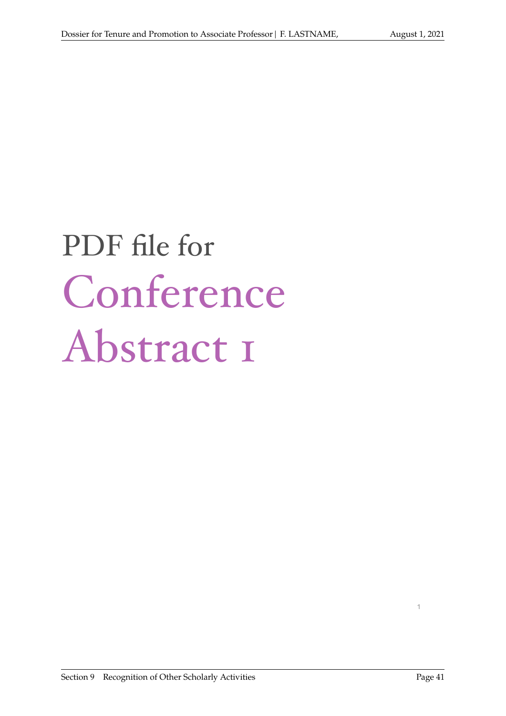# PDF file for<br>Conference Abstract I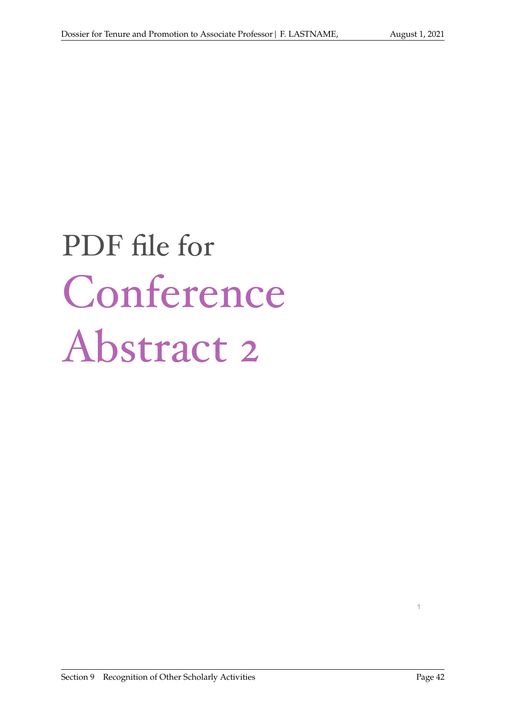# PDF file for<br>Conference Abstract 2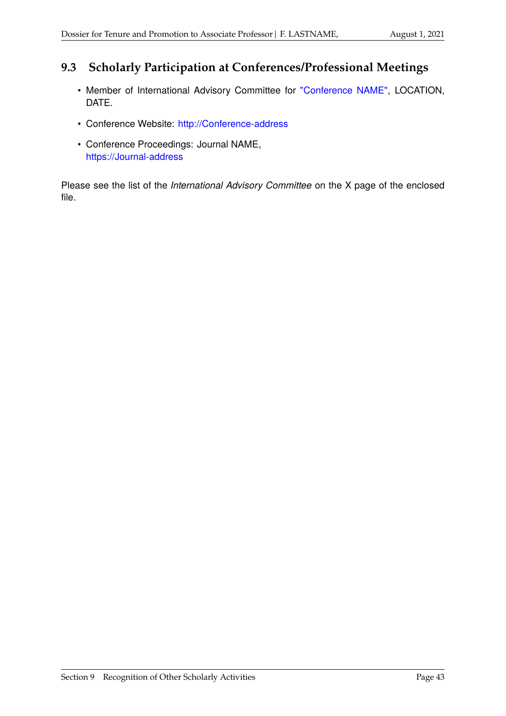#### <span id="page-43-0"></span>**9.3 Scholarly Participation at Conferences/Professional Meetings**

- Member of International Advisory Committee for ["Conference NAME",](https://Conference_address) LOCATION, DATE.
- Conference Website: <http://Conference-address>
- Conference Proceedings: Journal NAME, <https://Journal-address>

Please see the list of the *International Advisory Committee* on the X page of the enclosed file.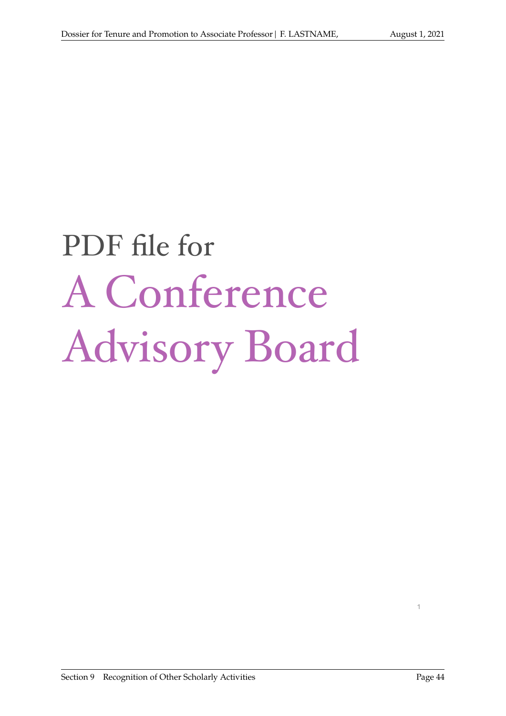# PDF file for A Conference **Advisory Board**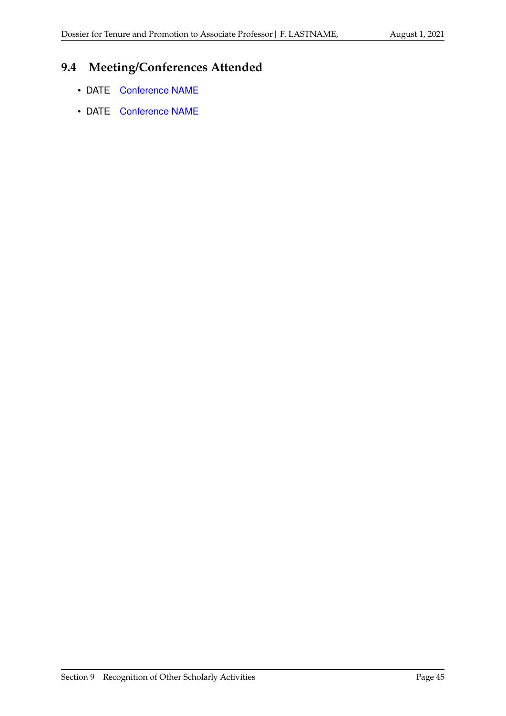#### <span id="page-45-0"></span>**9.4 Meeting/Conferences Attended**

- DATE [Conference NAME](https://conference-address)
- DATE [Conference NAME](https://conference-address)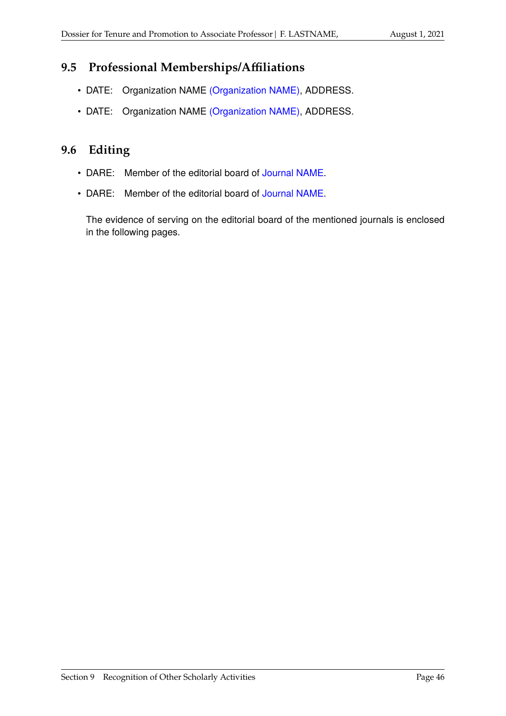#### <span id="page-46-0"></span>**9.5 Professional Memberships/Affiliations**

- DATE: Organization NAME [\(Organization NAME\),](http://Organization-address/) ADDRESS.
- DATE: Organization NAME [\(Organization NAME\),](http://Organization-address/) ADDRESS.

#### <span id="page-46-1"></span>**9.6 Editing**

- DARE: Member of the editorial board of [Journal NAME.](https://journal-address)
- DARE: Member of the editorial board of [Journal NAME.](https://journal-address)

The evidence of serving on the editorial board of the mentioned journals is enclosed in the following pages.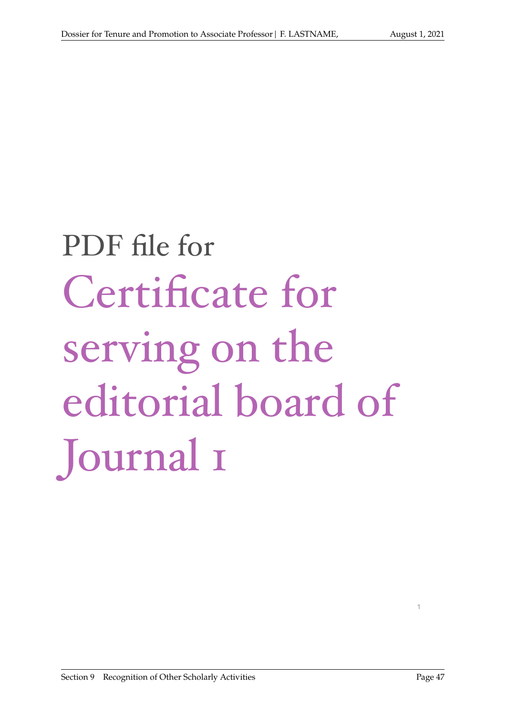# PDF file for Certificate for<br>serving on the editorial board of Journal I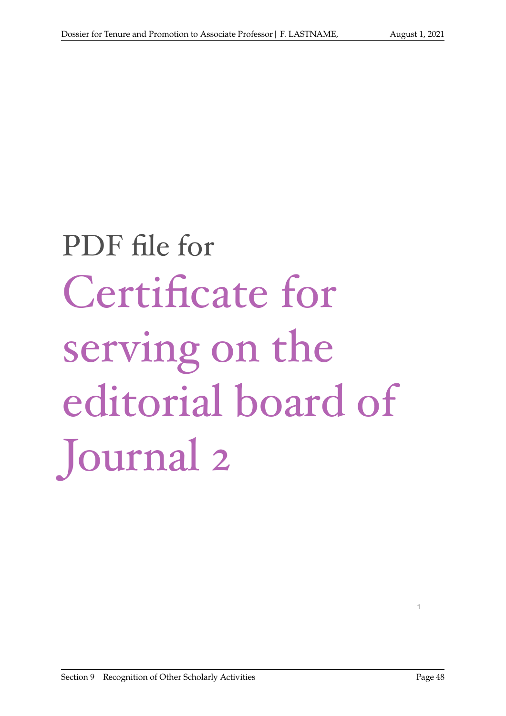# PDF file for Certificate for<br>serving on the editorial board of Journal 2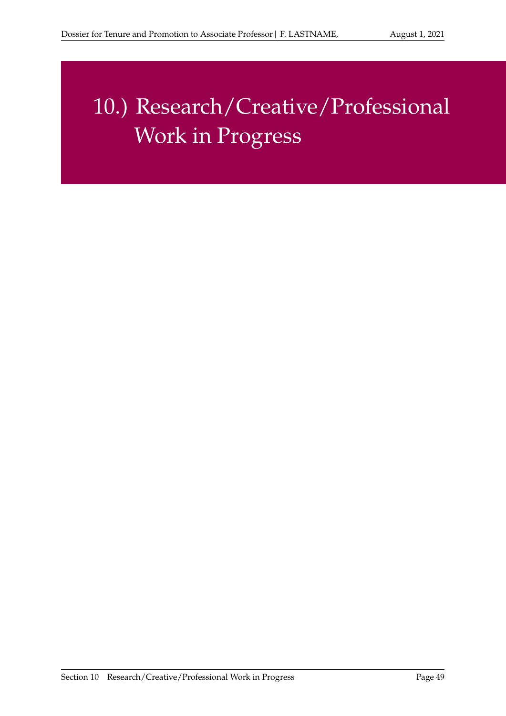### <span id="page-49-0"></span>10.) Research/Creative/Professional Work in Progress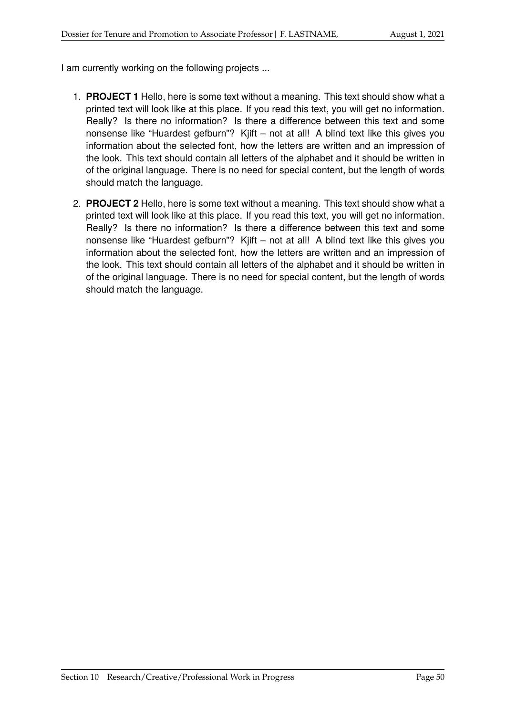I am currently working on the following projects ...

- 1. **PROJECT 1** Hello, here is some text without a meaning. This text should show what a printed text will look like at this place. If you read this text, you will get no information. Really? Is there no information? Is there a difference between this text and some nonsense like "Huardest gefburn"? Kjift – not at all! A blind text like this gives you information about the selected font, how the letters are written and an impression of the look. This text should contain all letters of the alphabet and it should be written in of the original language. There is no need for special content, but the length of words should match the language.
- 2. **PROJECT 2** Hello, here is some text without a meaning. This text should show what a printed text will look like at this place. If you read this text, you will get no information. Really? Is there no information? Is there a difference between this text and some nonsense like "Huardest gefburn"? Kjift – not at all! A blind text like this gives you information about the selected font, how the letters are written and an impression of the look. This text should contain all letters of the alphabet and it should be written in of the original language. There is no need for special content, but the length of words should match the language.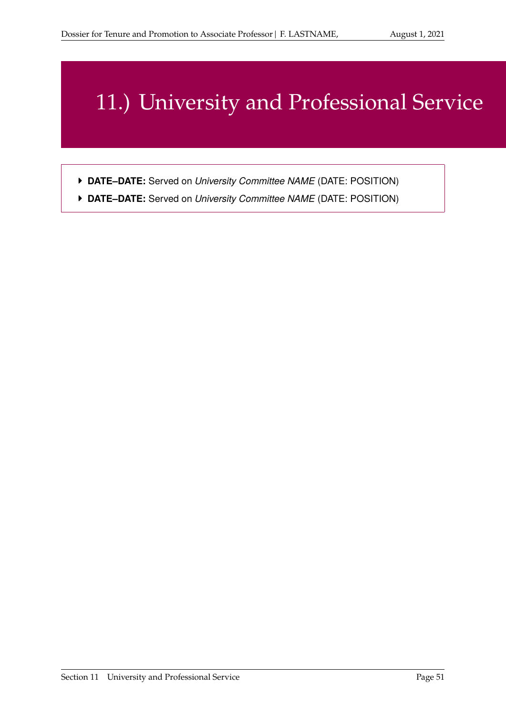### 11.) University and Professional Service

- <span id="page-51-0"></span>**DATE–DATE:** Served on *University Committee NAME* (DATE: POSITION)
- **DATE–DATE:** Served on *University Committee NAME* (DATE: POSITION)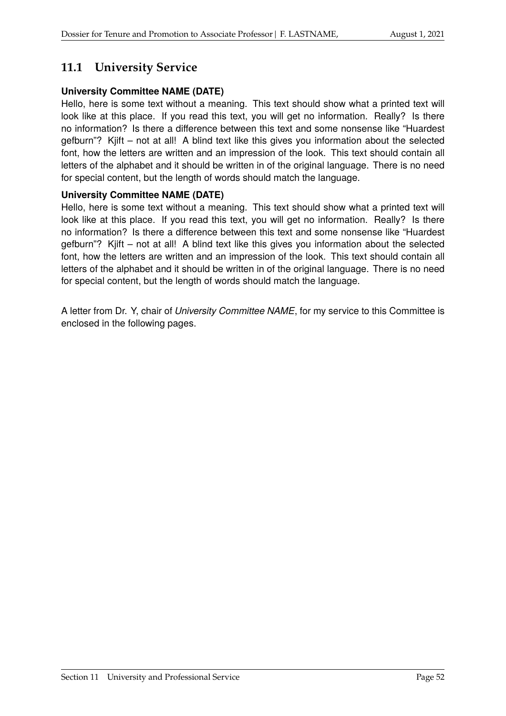#### <span id="page-52-0"></span>**11.1 University Service**

#### **University Committee NAME (DATE)**

Hello, here is some text without a meaning. This text should show what a printed text will look like at this place. If you read this text, you will get no information. Really? Is there no information? Is there a difference between this text and some nonsense like "Huardest gefburn"? Kjift – not at all! A blind text like this gives you information about the selected font, how the letters are written and an impression of the look. This text should contain all letters of the alphabet and it should be written in of the original language. There is no need for special content, but the length of words should match the language.

#### **University Committee NAME (DATE)**

Hello, here is some text without a meaning. This text should show what a printed text will look like at this place. If you read this text, you will get no information. Really? Is there no information? Is there a difference between this text and some nonsense like "Huardest gefburn"? Kjift – not at all! A blind text like this gives you information about the selected font, how the letters are written and an impression of the look. This text should contain all letters of the alphabet and it should be written in of the original language. There is no need for special content, but the length of words should match the language.

A letter from Dr. Y, chair of *University Committee NAME*, for my service to this Committee is enclosed in the following pages.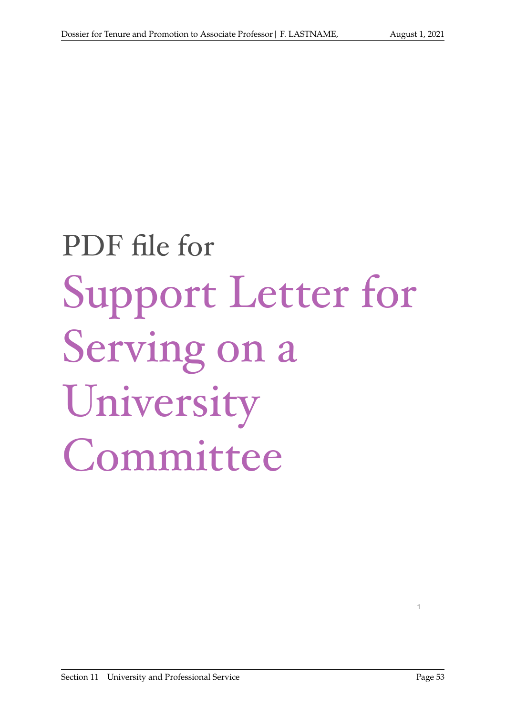# PDF file for Support Letter for Serving on a University Committee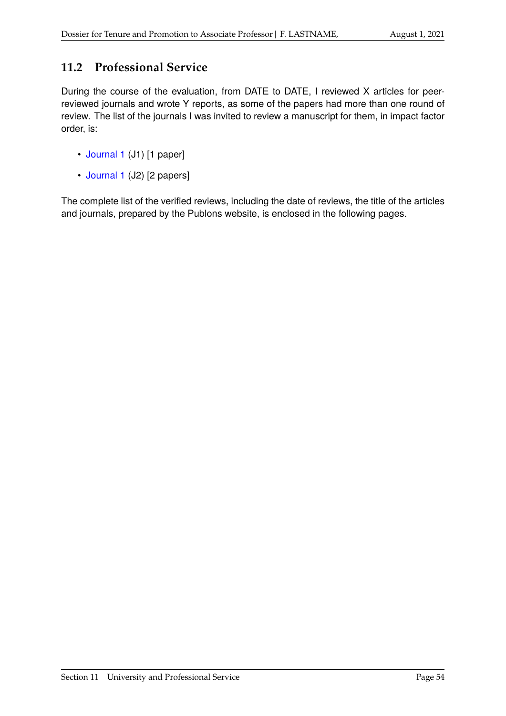#### <span id="page-54-0"></span>**11.2 Professional Service**

During the course of the evaluation, from DATE to DATE, I reviewed X articles for peerreviewed journals and wrote Y reports, as some of the papers had more than one round of review. The list of the journals I was invited to review a manuscript for them, in impact factor order, is:

- [Journal 1](https://journal1-address/) (J1) [1 paper]
- [Journal 1](https://journal2-address/) (J2) [2 papers]

The complete list of the verified reviews, including the date of reviews, the title of the articles and journals, prepared by the Publons website, is enclosed in the following pages.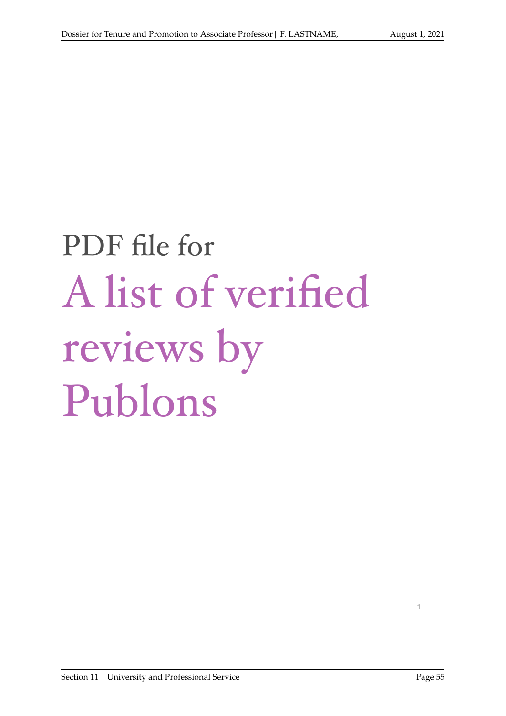# PDF file for A list of verified reviews by Publons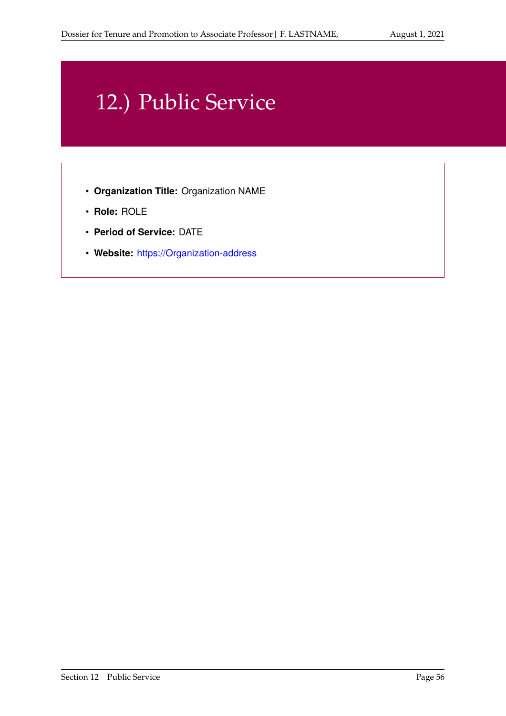### 12.) Public Service

- <span id="page-56-0"></span>• **Organization Title:** Organization NAME
- **Role:** ROLE
- **Period of Service:** DATE
- **Website:** <https://Organization-address>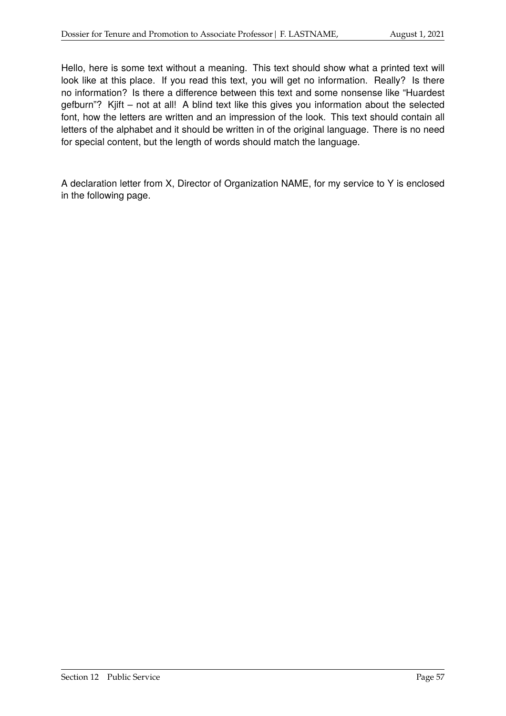Hello, here is some text without a meaning. This text should show what a printed text will look like at this place. If you read this text, you will get no information. Really? Is there no information? Is there a difference between this text and some nonsense like "Huardest gefburn"? Kjift – not at all! A blind text like this gives you information about the selected font, how the letters are written and an impression of the look. This text should contain all letters of the alphabet and it should be written in of the original language. There is no need for special content, but the length of words should match the language.

A declaration letter from X, Director of Organization NAME, for my service to Y is enclosed in the following page.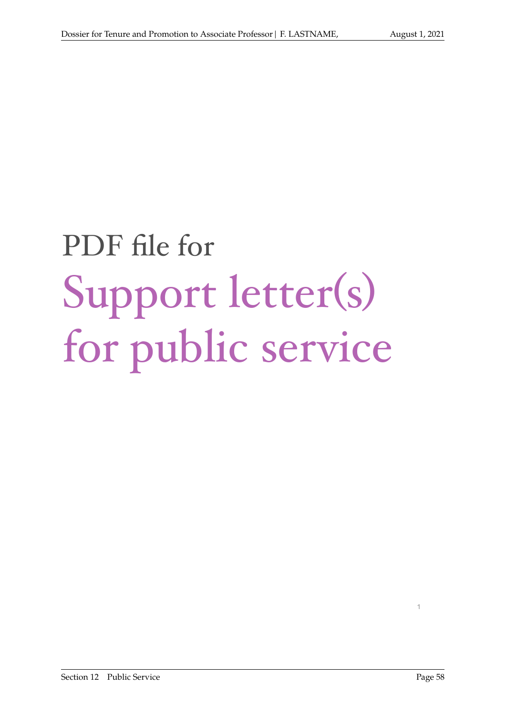# PDF file for Support letter(s) for public service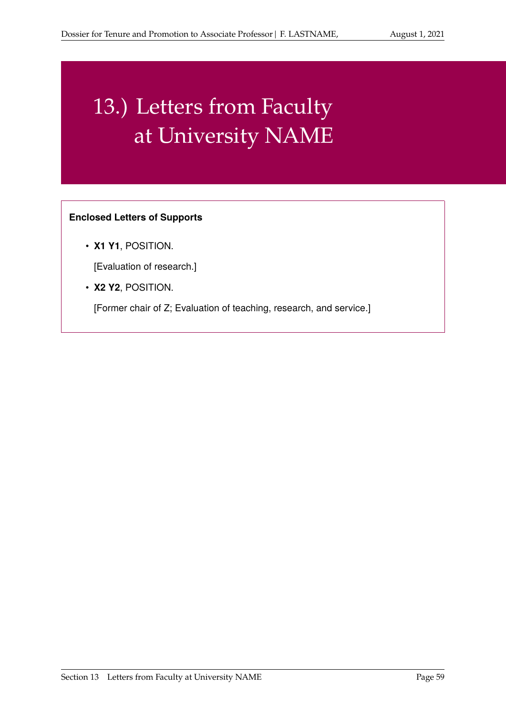### 13.) Letters from Faculty at University NAME

#### <span id="page-59-0"></span>**Enclosed Letters of Supports**

• **X1 Y1**, POSITION.

[Evaluation of research.]

• **X2 Y2**, POSITION.

[Former chair of Z; Evaluation of teaching, research, and service.]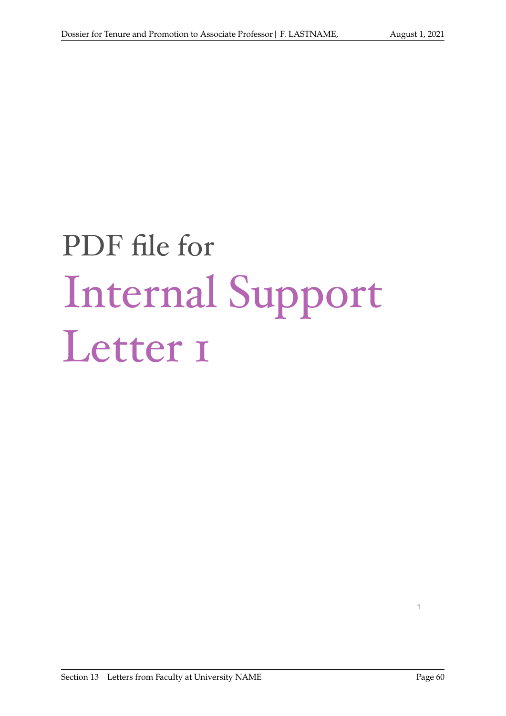# PDF file for Internal Support Letter I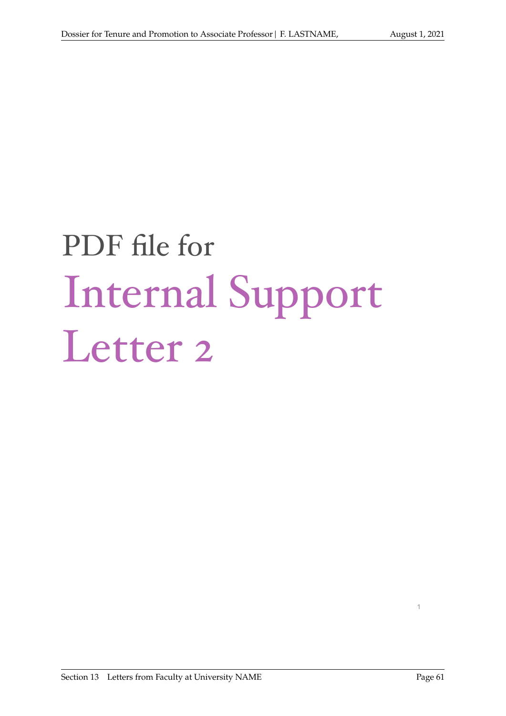# PDF file for Internal Support Letter 2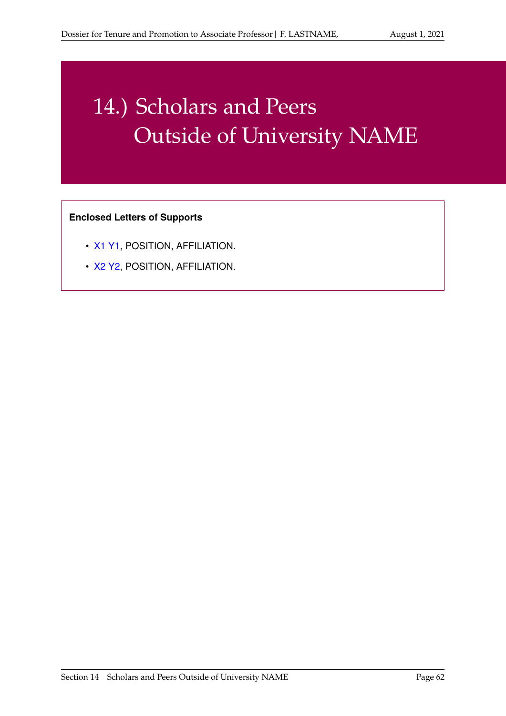### 14.) Scholars and Peers Outside of University NAME

<span id="page-62-0"></span>**Enclosed Letters of Supports**

- [X1 Y1,](https://professor1-address) POSITION, AFFILIATION.
- [X2 Y2,](https://professor1-address) POSITION, AFFILIATION.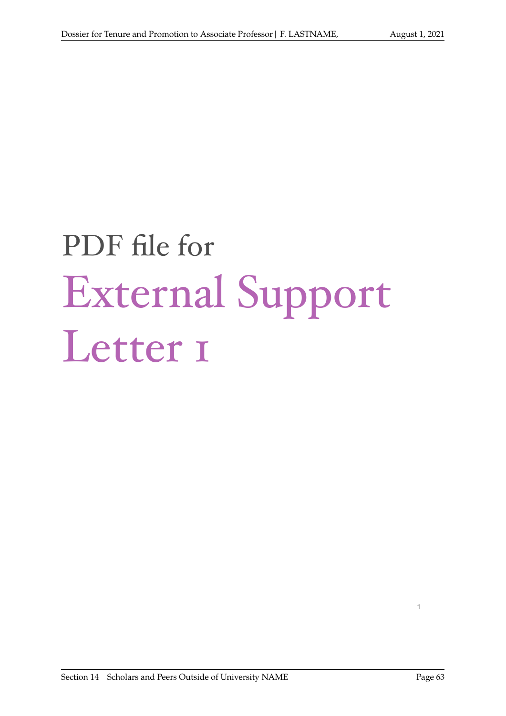# PDF file for External Support Letter I